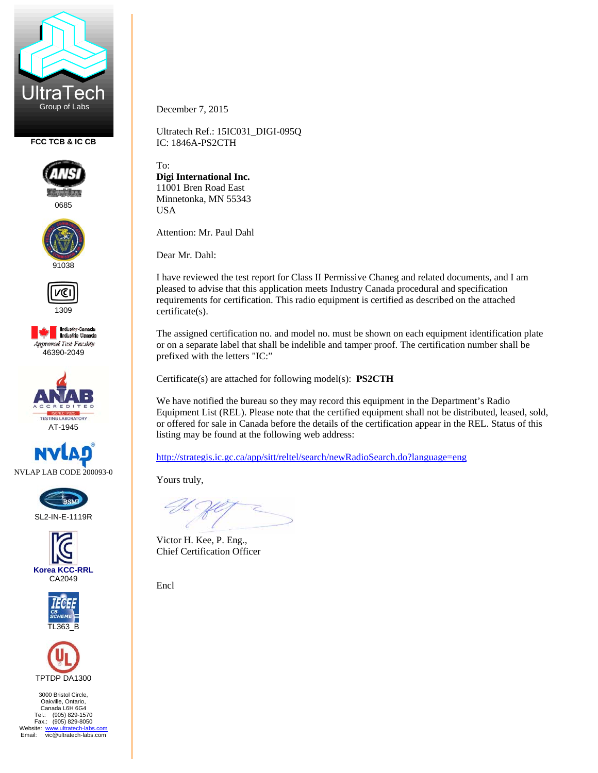

**FCC TCB & IC CB** 



0685





1309







SL2-IN-E-1119R







3000 Bristol Circle, Oakville, Ontario, Canada L6H 6G4 Tel.: (905) 829-1570 Fax.: (905) 829-8050 Website: www.ultratech-labs.com<br>Email: vic@ultratech-labs.com December 7, 2015

Ultratech Ref.: 15IC031\_DIGI-095Q IC: 1846A-PS2CTH

To: **Digi International Inc.**  11001 Bren Road East Minnetonka, MN 55343 USA

Attention: Mr. Paul Dahl

Dear Mr. Dahl:

I have reviewed the test report for Class II Permissive Chaneg and related documents, and I am pleased to advise that this application meets Industry Canada procedural and specification requirements for certification. This radio equipment is certified as described on the attached certificate(s).

The assigned certification no. and model no. must be shown on each equipment identification plate or on a separate label that shall be indelible and tamper proof. The certification number shall be prefixed with the letters "IC:"

Certificate(s) are attached for following model(s): **PS2CTH**

We have notified the bureau so they may record this equipment in the Department's Radio Equipment List (REL). Please note that the certified equipment shall not be distributed, leased, sold, or offered for sale in Canada before the details of the certification appear in the REL. Status of this listing may be found at the following web address:

http://strategis.ic.gc.ca/app/sitt/reltel/search/newRadioSearch.do?language=eng

Yours truly,

Victor H. Kee, P. Eng., Chief Certification Officer

Encl